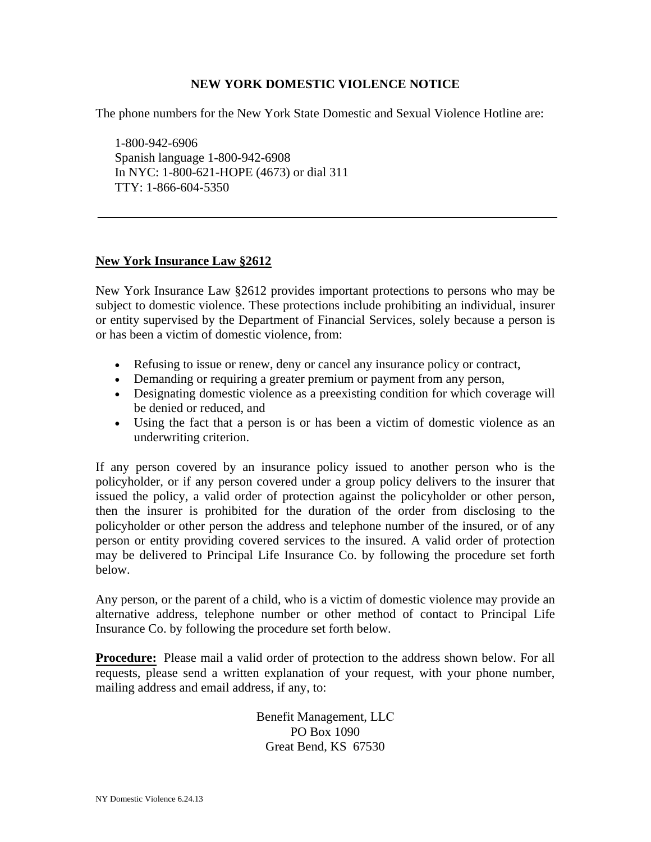## **NEW YORK DOMESTIC VIOLENCE NOTICE**

The phone numbers for the New York State Domestic and Sexual Violence Hotline are:

1-800-942-6906 Spanish language 1-800-942-6908 In NYC: 1-800-621-HOPE (4673) or dial 311 TTY: 1-866-604-5350

## **New York Insurance Law §2612**

New York Insurance Law §2612 provides important protections to persons who may be subject to domestic violence. These protections include prohibiting an individual, insurer or entity supervised by the Department of Financial Services, solely because a person is or has been a victim of domestic violence, from:

- x Refusing to issue or renew, deny or cancel any insurance policy or contract,
- Demanding or requiring a greater premium or payment from any person,
- Designating domestic violence as a preexisting condition for which coverage will be denied or reduced, and
- Using the fact that a person is or has been a victim of domestic violence as an underwriting criterion.

If any person covered by an insurance policy issued to another person who is the policyholder, or if any person covered under a group policy delivers to the insurer that issued the policy, a valid order of protection against the policyholder or other person, then the insurer is prohibited for the duration of the order from disclosing to the policyholder or other person the address and telephone number of the insured, or of any person or entity providing covered services to the insured. A valid order of protection may be delivered to Principal Life Insurance Co. by following the procedure set forth below.

Any person, or the parent of a child, who is a victim of domestic violence may provide an alternative address, telephone number or other method of contact to Principal Life Insurance Co. by following the procedure set forth below.

**Procedure:** Please mail a valid order of protection to the address shown below. For all requests, please send a written explanation of your request, with your phone number, mailing address and email address, if any, to:

> Benefit Management, LLC PO Box 1090 Great Bend, KS 67530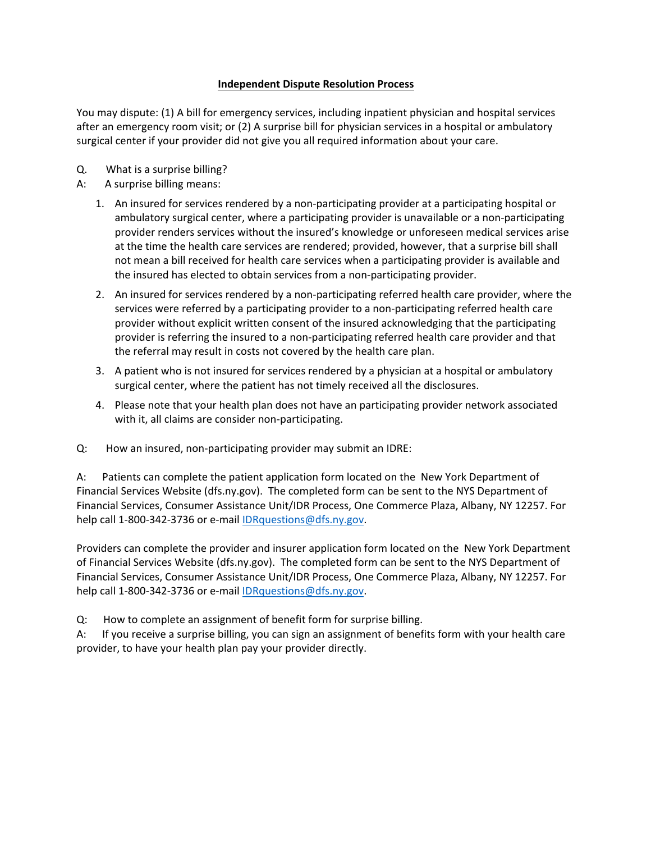## **Independent Dispute Resolution Process**

You may dispute: (1) A bill for emergency services, including inpatient physician and hospital services after an emergency room visit; or (2) A surprise bill for physician services in a hospital or ambulatory surgical center if your provider did not give you all required information about your care.

- Q. What is a surprise billing?
- A: A surprise billing means:
	- 1. An insured for services rendered by a non-participating provider at a participating hospital or ambulatory surgical center, where a participating provider is unavailable or a non-participating provider renders services without the insured's knowledge or unforeseen medical services arise at the time the health care services are rendered; provided, however, that a surprise bill shall not mean a bill received for health care services when a participating provider is available and the insured has elected to obtain services from a non-participating provider.
	- 2. An insured for services rendered by a non-participating referred health care provider, where the services were referred by a participating provider to a non-participating referred health care provider without explicit written consent of the insured acknowledging that the participating provider is referring the insured to a non-participating referred health care provider and that the referral may result in costs not covered by the health care plan.
	- 3. A patient who is not insured for services rendered by a physician at a hospital or ambulatory surgical center, where the patient has not timely received all the disclosures.
	- 4. Please note that your health plan does not have an participating provider network associated with it, all claims are consider non-participating.
- Q: How an insured, non-participating provider may submit an IDRE:

A: Patients can complete the patient application form located on the New York Department of Financial Services Website (dfs.ny.gov). The completed form can be sent to the NYS Department of Financial Services, Consumer Assistance Unit/IDR Process, One Commerce Plaza, Albany, NY 12257. For help call 1-800-342-3736 or e-mail **IDRquestions@dfs.ny.gov.** 

Providers can complete the provider and insurer application form located on the New York Department of Financial Services Website (dfs.ny.gov). The completed form can be sent to the NYS Department of Financial Services, Consumer Assistance Unit/IDR Process, One Commerce Plaza, Albany, NY 12257. For help call 1-800-342-3736 or e-mail [IDRquestions@dfs.ny.gov.](mailto:IDRquestions@dfs.ny.gov)

Q: How to complete an assignment of benefit form for surprise billing.

A: If you receive a surprise billing, you can sign an assignment of benefits form with your health care provider, to have your health plan pay your provider directly.